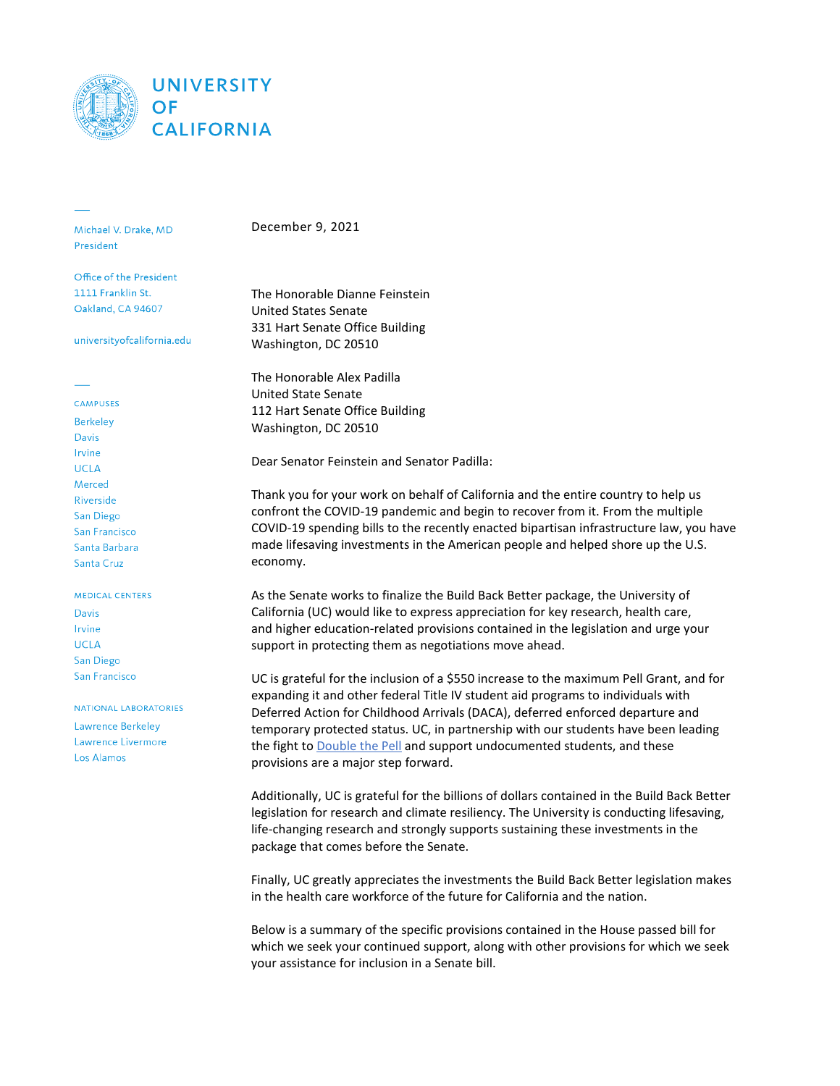

Michael V. Drake, MD **President** 

Office of the President 1111 Franklin St. Oakland, CA 94607

universityofcalifornia.edu

### **CAMPUSES**

**Berkeley** Davis Irvine **UCLA** Merced Riverside San Diego San Francisco Santa Barbara Santa Cruz

### **MEDICAL CENTERS**

**Davis** Irvine **UCLA** San Diego San Francisco

NATIONAL LABORATORIES Lawrence Berkeley Lawrence Livermore

Los Alamos

December 9, 2021

The Honorable Dianne Feinstein United States Senate 331 Hart Senate Office Building Washington, DC 20510

The Honorable Alex Padilla United State Senate 112 Hart Senate Office Building Washington, DC 20510

Dear Senator Feinstein and Senator Padilla:

Thank you for your work on behalf of California and the entire country to help us confront the COVID-19 pandemic and begin to recover from it. From the multiple COVID-19 spending bills to the recently enacted bipartisan infrastructure law, you have made lifesaving investments in the American people and helped shore up the U.S. economy.

As the Senate works to finalize the Build Back Better package, the University of California (UC) would like to express appreciation for key research, health care, and higher education-related provisions contained in the legislation and urge your support in protecting them as negotiations move ahead.

UC is grateful for the inclusion of a \$550 increase to the maximum Pell Grant, and for expanding it and other federal Title IV student aid programs to individuals with Deferred Action for Childhood Arrivals (DACA), deferred enforced departure and temporary protected status. UC, in partnership with our students have been leading the fight to [Double](https://www.universityofcalifornia.edu/double-the-pell) the Pell and support undocumented students, and these provisions are a major step forward.

Additionally, UC is grateful for the billions of dollars contained in the Build Back Better legislation for research and climate resiliency. The University is conducting lifesaving, life-changing research and strongly supports sustaining these investments in the package that comes before the Senate.

Finally, UC greatly appreciates the investments the Build Back Better legislation makes in the health care workforce of the future for California and the nation.

Below is a summary of the specific provisions contained in the House passed bill for which we seek your continued support, along with other provisions for which we seek your assistance for inclusion in a Senate bill.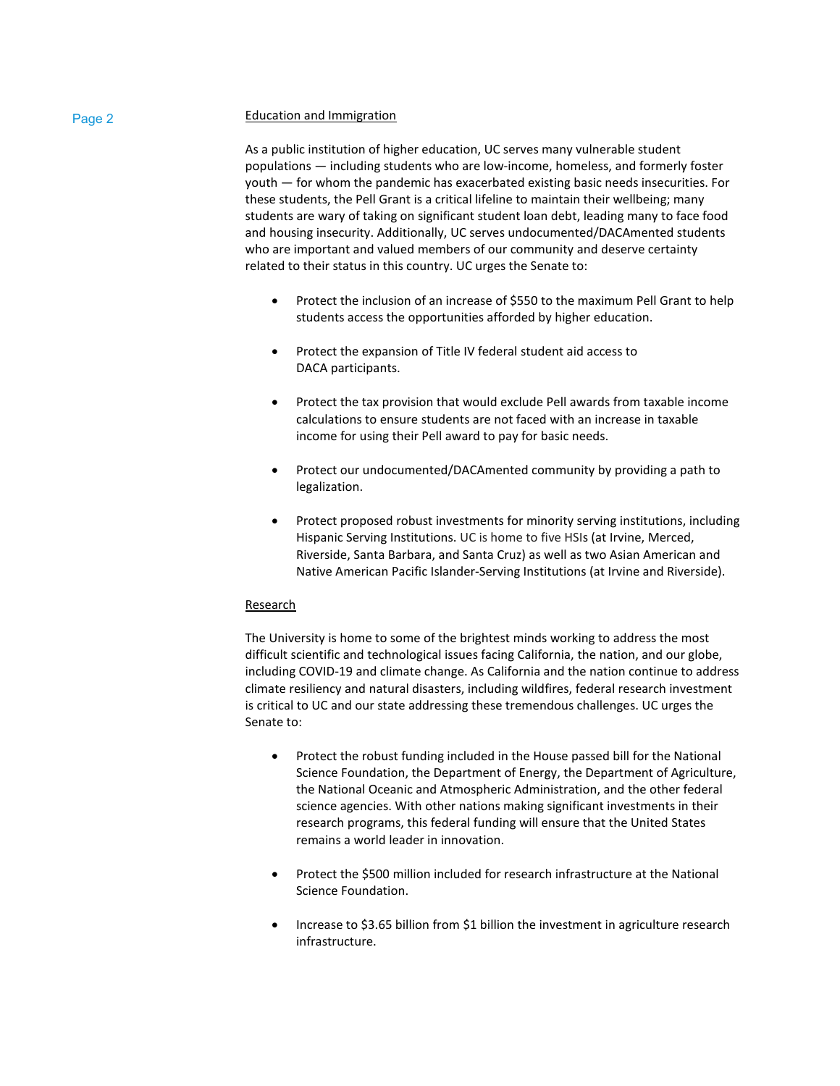# Page 2 **Education and Immigration**

As a public institution of higher education, UC serves many vulnerable student populations — including students who are low-income, homeless, and formerly foster youth — for whom the pandemic has exacerbated existing basic needs insecurities. For these students, the Pell Grant is a critical lifeline to maintain their wellbeing; many students are wary of taking on significant student loan debt, leading many to face food and housing insecurity. Additionally, UC serves undocumented/DACAmented students who are important and valued members of our community and deserve certainty related to their status in this country. UC urges the Senate to:

- Protect the inclusion of an increase of \$550 to the maximum Pell Grant to help students access the opportunities afforded by higher education.
- Protect the expansion of Title IV federal student aid access to DACA participants.
- Protect the tax provision that would exclude Pell awards from taxable income calculations to ensure students are not faced with an increase in taxable income for using their Pell award to pay for basic needs.
- Protect our undocumented/DACAmented community by providing a path to legalization.
- Protect proposed robust investments for minority serving institutions, including Hispanic Serving Institutions. UC is home to five HSIs (at Irvine, Merced, Riverside, Santa Barbara, and Santa Cruz) as well as two Asian American and Native American Pacific Islander-Serving Institutions (at Irvine and Riverside).

## Research

The University is home to some of the brightest minds working to address the most difficult scientific and technological issues facing California, the nation, and our globe, including COVID-19 and climate change. As California and the nation continue to address climate resiliency and natural disasters, including wildfires, federal research investment is critical to UC and our state addressing these tremendous challenges. UC urges the Senate to:

- Protect the robust funding included in the House passed bill for the National Science Foundation, the Department of Energy, the Department of Agriculture, the National Oceanic and Atmospheric Administration, and the other federal science agencies. With other nations making significant investments in their research programs, this federal funding will ensure that the United States remains a world leader in innovation.
- Protect the \$500 million included for research infrastructure at the National Science Foundation.
- Increase to \$3.65 billion from \$1 billion the investment in agriculture research infrastructure.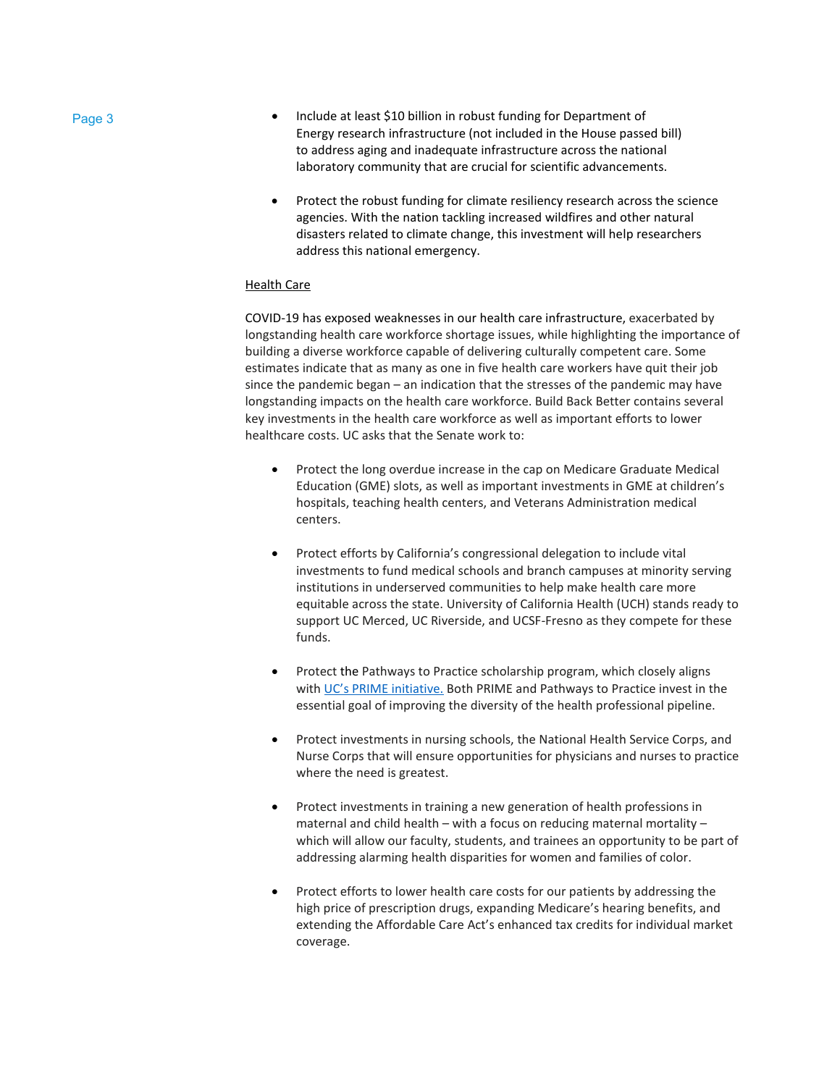- Page 3  **Include at least \$10 billion in robust funding for Department of** Energy research infrastructure (not included in the House passed bill) to address aging and inadequate infrastructure across the national laboratory community that are crucial for scientific advancements.
	- Protect the robust funding for climate resiliency research across the science agencies. With the nation tackling increased wildfires and other natural disasters related to climate change, this investment will help researchers address this national emergency.

## Health Care

COVID-19 has exposed weaknesses in our health care infrastructure, exacerbated by longstanding health care workforce shortage issues, while highlighting the importance of building a diverse workforce capable of delivering culturally competent care. Some estimates indicate that as many as one in five health care workers have quit their job since the pandemic began – an indication that the stresses of the pandemic may have longstanding impacts on the health care workforce. Build Back Better contains several key investments in the health care workforce as well as important efforts to lower healthcare costs. UC asks that the Senate work to:

- Protect the long overdue increase in the cap on Medicare Graduate Medical Education (GME) slots, as well as important investments in GME at children's hospitals, teaching health centers, and Veterans Administration medical centers.
- Protect efforts by California's congressional delegation to include vital investments to fund medical schools and branch campuses at minority serving institutions in underserved communities to help make health care more equitable across the state. University of California Health (UCH) stands ready to support UC Merced, UC Riverside, and UCSF-Fresno as they compete for these funds.
- Protect the Pathways to Practice scholarship program, which closely aligns with [UC's PRIME initiative.](https://www.ucop.edu/uc-health/functions/prime.html) Both PRIME and Pathways to Practice invest in the essential goal of improving the diversity of the health professional pipeline.
- Protect investments in nursing schools, the National Health Service Corps, and Nurse Corps that will ensure opportunities for physicians and nurses to practice where the need is greatest.
- Protect investments in training a new generation of health professions in maternal and child health – with a focus on reducing maternal mortality – which will allow our faculty, students, and trainees an opportunity to be part of addressing alarming health disparities for women and families of color.
- Protect efforts to lower health care costs for our patients by addressing the high price of prescription drugs, expanding Medicare's hearing benefits, and extending the Affordable Care Act's enhanced tax credits for individual market coverage.